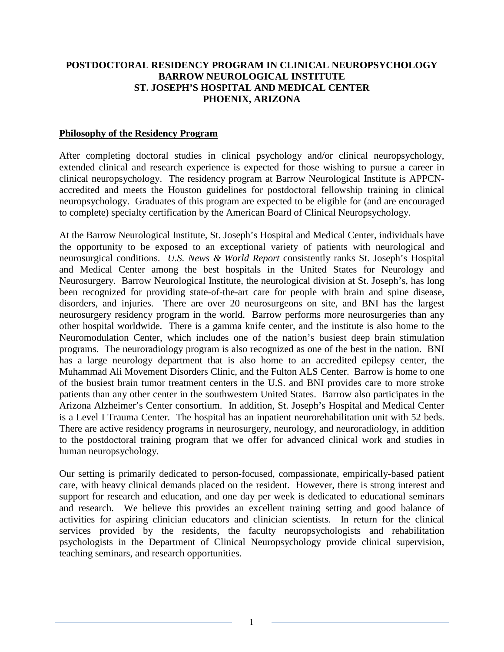## **POSTDOCTORAL RESIDENCY PROGRAM IN CLINICAL NEUROPSYCHOLOGY BARROW NEUROLOGICAL INSTITUTE ST. JOSEPH'S HOSPITAL AND MEDICAL CENTER PHOENIX, ARIZONA**

### **Philosophy of the Residency Program**

After completing doctoral studies in clinical psychology and/or clinical neuropsychology, extended clinical and research experience is expected for those wishing to pursue a career in clinical neuropsychology. The residency program at Barrow Neurological Institute is APPCNaccredited and meets the Houston guidelines for postdoctoral fellowship training in clinical neuropsychology. Graduates of this program are expected to be eligible for (and are encouraged to complete) specialty certification by the American Board of Clinical Neuropsychology.

At the Barrow Neurological Institute, St. Joseph's Hospital and Medical Center, individuals have the opportunity to be exposed to an exceptional variety of patients with neurological and neurosurgical conditions. *U.S. News & World Report* consistently ranks St. Joseph's Hospital and Medical Center among the best hospitals in the United States for Neurology and Neurosurgery. Barrow Neurological Institute, the neurological division at St. Joseph's, has long been recognized for providing state-of-the-art care for people with brain and spine disease, disorders, and injuries. There are over 20 neurosurgeons on site, and BNI has the largest neurosurgery residency program in the world. Barrow performs more neurosurgeries than any other hospital worldwide. There is a gamma knife center, and the institute is also home to the Neuromodulation Center, which includes one of the nation's busiest deep brain stimulation programs. The neuroradiology program is also recognized as one of the best in the nation. BNI has a large neurology department that is also home to an accredited epilepsy center, the Muhammad Ali Movement Disorders Clinic, and the Fulton ALS Center. Barrow is home to one of the busiest brain tumor treatment centers in the U.S. and BNI provides care to more stroke patients than any other center in the southwestern United States. Barrow also participates in the Arizona Alzheimer's Center consortium. In addition, St. Joseph's Hospital and Medical Center is a Level I Trauma Center. The hospital has an inpatient neurorehabilitation unit with 52 beds. There are active residency programs in neurosurgery, neurology, and neuroradiology, in addition to the postdoctoral training program that we offer for advanced clinical work and studies in human neuropsychology.

Our setting is primarily dedicated to person-focused, compassionate, empirically-based patient care, with heavy clinical demands placed on the resident. However, there is strong interest and support for research and education, and one day per week is dedicated to educational seminars and research. We believe this provides an excellent training setting and good balance of activities for aspiring clinician educators and clinician scientists. In return for the clinical services provided by the residents, the faculty neuropsychologists and rehabilitation psychologists in the Department of Clinical Neuropsychology provide clinical supervision, teaching seminars, and research opportunities.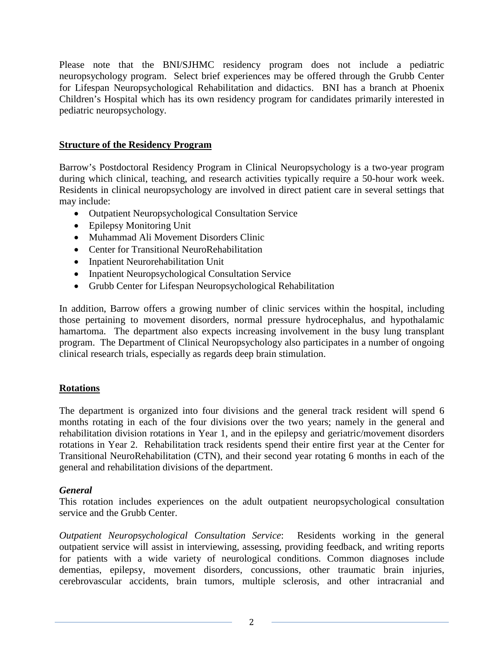Please note that the BNI/SJHMC residency program does not include a pediatric neuropsychology program. Select brief experiences may be offered through the Grubb Center for Lifespan Neuropsychological Rehabilitation and didactics. BNI has a branch at Phoenix Children's Hospital which has its own residency program for candidates primarily interested in pediatric neuropsychology.

## **Structure of the Residency Program**

Barrow's Postdoctoral Residency Program in Clinical Neuropsychology is a two-year program during which clinical, teaching, and research activities typically require a 50-hour work week. Residents in clinical neuropsychology are involved in direct patient care in several settings that may include:

- Outpatient Neuropsychological Consultation Service
- Epilepsy Monitoring Unit
- Muhammad Ali Movement Disorders Clinic
- Center for Transitional NeuroRehabilitation
- Inpatient Neurorehabilitation Unit
- Inpatient Neuropsychological Consultation Service
- Grubb Center for Lifespan Neuropsychological Rehabilitation

In addition, Barrow offers a growing number of clinic services within the hospital, including those pertaining to movement disorders, normal pressure hydrocephalus, and hypothalamic hamartoma. The department also expects increasing involvement in the busy lung transplant program. The Department of Clinical Neuropsychology also participates in a number of ongoing clinical research trials, especially as regards deep brain stimulation.

## **Rotations**

The department is organized into four divisions and the general track resident will spend 6 months rotating in each of the four divisions over the two years; namely in the general and rehabilitation division rotations in Year 1, and in the epilepsy and geriatric/movement disorders rotations in Year 2. Rehabilitation track residents spend their entire first year at the Center for Transitional NeuroRehabilitation (CTN), and their second year rotating 6 months in each of the general and rehabilitation divisions of the department.

## *General*

This rotation includes experiences on the adult outpatient neuropsychological consultation service and the Grubb Center.

*Outpatient Neuropsychological Consultation Service*: Residents working in the general outpatient service will assist in interviewing, assessing, providing feedback, and writing reports for patients with a wide variety of neurological conditions. Common diagnoses include dementias, epilepsy, movement disorders, concussions, other traumatic brain injuries, cerebrovascular accidents, brain tumors, multiple sclerosis, and other intracranial and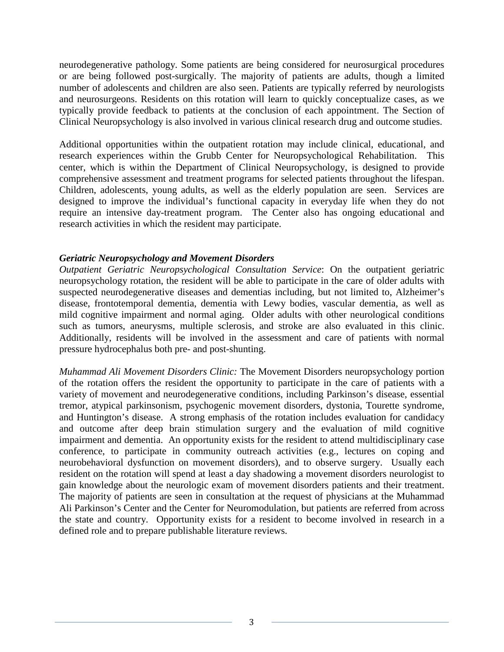neurodegenerative pathology. Some patients are being considered for neurosurgical procedures or are being followed post-surgically. The majority of patients are adults, though a limited number of adolescents and children are also seen. Patients are typically referred by neurologists and neurosurgeons. Residents on this rotation will learn to quickly conceptualize cases, as we typically provide feedback to patients at the conclusion of each appointment. The Section of Clinical Neuropsychology is also involved in various clinical research drug and outcome studies.

Additional opportunities within the outpatient rotation may include clinical, educational, and research experiences within the Grubb Center for Neuropsychological Rehabilitation. This center, which is within the Department of Clinical Neuropsychology, is designed to provide comprehensive assessment and treatment programs for selected patients throughout the lifespan. Children, adolescents, young adults, as well as the elderly population are seen. Services are designed to improve the individual's functional capacity in everyday life when they do not require an intensive day-treatment program. The Center also has ongoing educational and research activities in which the resident may participate.

### *Geriatric Neuropsychology and Movement Disorders*

*Outpatient Geriatric Neuropsychological Consultation Service*: On the outpatient geriatric neuropsychology rotation, the resident will be able to participate in the care of older adults with suspected neurodegenerative diseases and dementias including, but not limited to, Alzheimer's disease, frontotemporal dementia, dementia with Lewy bodies, vascular dementia, as well as mild cognitive impairment and normal aging. Older adults with other neurological conditions such as tumors, aneurysms, multiple sclerosis, and stroke are also evaluated in this clinic. Additionally, residents will be involved in the assessment and care of patients with normal pressure hydrocephalus both pre- and post-shunting.

*Muhammad Ali Movement Disorders Clinic:* The Movement Disorders neuropsychology portion of the rotation offers the resident the opportunity to participate in the care of patients with a variety of movement and neurodegenerative conditions, including Parkinson's disease, essential tremor, atypical parkinsonism, psychogenic movement disorders, dystonia, Tourette syndrome, and Huntington's disease. A strong emphasis of the rotation includes evaluation for candidacy and outcome after deep brain stimulation surgery and the evaluation of mild cognitive impairment and dementia. An opportunity exists for the resident to attend multidisciplinary case conference, to participate in community outreach activities (e.g., lectures on coping and neurobehavioral dysfunction on movement disorders), and to observe surgery. Usually each resident on the rotation will spend at least a day shadowing a movement disorders neurologist to gain knowledge about the neurologic exam of movement disorders patients and their treatment. The majority of patients are seen in consultation at the request of physicians at the Muhammad Ali Parkinson's Center and the Center for Neuromodulation, but patients are referred from across the state and country. Opportunity exists for a resident to become involved in research in a defined role and to prepare publishable literature reviews.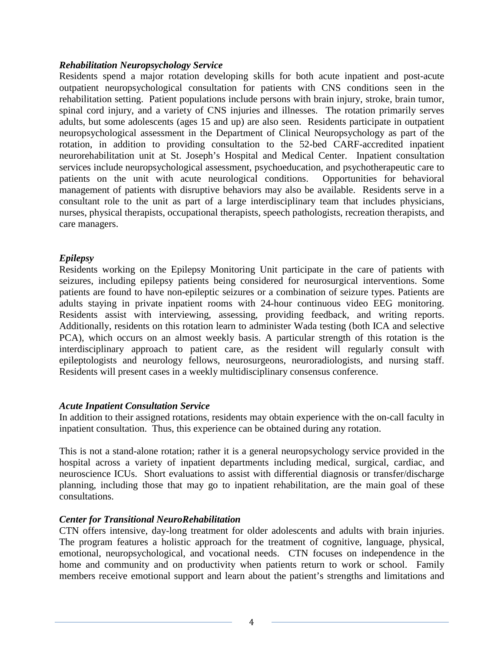## *Rehabilitation Neuropsychology Service*

Residents spend a major rotation developing skills for both acute inpatient and post-acute outpatient neuropsychological consultation for patients with CNS conditions seen in the rehabilitation setting. Patient populations include persons with brain injury, stroke, brain tumor, spinal cord injury, and a variety of CNS injuries and illnesses. The rotation primarily serves adults, but some adolescents (ages 15 and up) are also seen. Residents participate in outpatient neuropsychological assessment in the Department of Clinical Neuropsychology as part of the rotation, in addition to providing consultation to the 52-bed CARF-accredited inpatient neurorehabilitation unit at St. Joseph's Hospital and Medical Center. Inpatient consultation services include neuropsychological assessment, psychoeducation, and psychotherapeutic care to patients on the unit with acute neurological conditions. Opportunities for behavioral management of patients with disruptive behaviors may also be available. Residents serve in a consultant role to the unit as part of a large interdisciplinary team that includes physicians, nurses, physical therapists, occupational therapists, speech pathologists, recreation therapists, and care managers.

## *Epilepsy*

Residents working on the Epilepsy Monitoring Unit participate in the care of patients with seizures, including epilepsy patients being considered for neurosurgical interventions. Some patients are found to have non-epileptic seizures or a combination of seizure types. Patients are adults staying in private inpatient rooms with 24-hour continuous video EEG monitoring. Residents assist with interviewing, assessing, providing feedback, and writing reports. Additionally, residents on this rotation learn to administer Wada testing (both ICA and selective PCA), which occurs on an almost weekly basis. A particular strength of this rotation is the interdisciplinary approach to patient care, as the resident will regularly consult with epileptologists and neurology fellows, neurosurgeons, neuroradiologists, and nursing staff. Residents will present cases in a weekly multidisciplinary consensus conference.

## *Acute Inpatient Consultation Service*

In addition to their assigned rotations, residents may obtain experience with the on-call faculty in inpatient consultation. Thus, this experience can be obtained during any rotation.

This is not a stand-alone rotation; rather it is a general neuropsychology service provided in the hospital across a variety of inpatient departments including medical, surgical, cardiac, and neuroscience ICUs. Short evaluations to assist with differential diagnosis or transfer/discharge planning, including those that may go to inpatient rehabilitation, are the main goal of these consultations.

#### *Center for Transitional NeuroRehabilitation*

CTN offers intensive, day-long treatment for older adolescents and adults with brain injuries. The program features a holistic approach for the treatment of cognitive, language, physical, emotional, neuropsychological, and vocational needs. CTN focuses on independence in the home and community and on productivity when patients return to work or school. Family members receive emotional support and learn about the patient's strengths and limitations and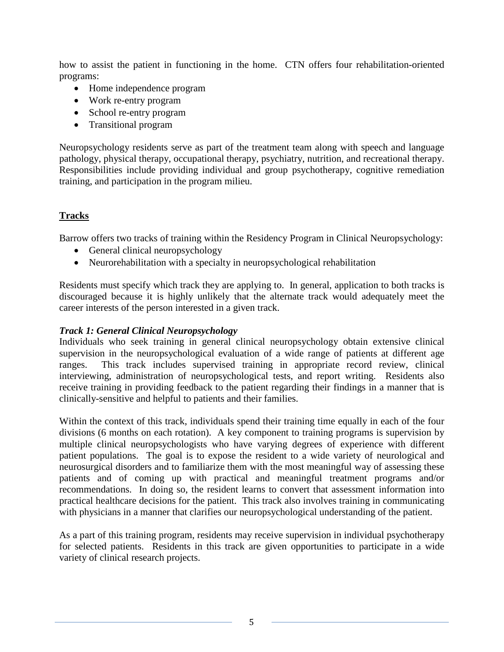how to assist the patient in functioning in the home. CTN offers four rehabilitation-oriented programs:

- Home independence program
- Work re-entry program
- School re-entry program
- Transitional program

Neuropsychology residents serve as part of the treatment team along with speech and language pathology, physical therapy, occupational therapy, psychiatry, nutrition, and recreational therapy. Responsibilities include providing individual and group psychotherapy, cognitive remediation training, and participation in the program milieu.

# **Tracks**

Barrow offers two tracks of training within the Residency Program in Clinical Neuropsychology:

- General clinical neuropsychology
- Neurorehabilitation with a specialty in neuropsychological rehabilitation

Residents must specify which track they are applying to. In general, application to both tracks is discouraged because it is highly unlikely that the alternate track would adequately meet the career interests of the person interested in a given track.

# *Track 1: General Clinical Neuropsychology*

Individuals who seek training in general clinical neuropsychology obtain extensive clinical supervision in the neuropsychological evaluation of a wide range of patients at different age ranges. This track includes supervised training in appropriate record review, clinical interviewing, administration of neuropsychological tests, and report writing. Residents also receive training in providing feedback to the patient regarding their findings in a manner that is clinically-sensitive and helpful to patients and their families.

Within the context of this track, individuals spend their training time equally in each of the four divisions (6 months on each rotation). A key component to training programs is supervision by multiple clinical neuropsychologists who have varying degrees of experience with different patient populations. The goal is to expose the resident to a wide variety of neurological and neurosurgical disorders and to familiarize them with the most meaningful way of assessing these patients and of coming up with practical and meaningful treatment programs and/or recommendations. In doing so, the resident learns to convert that assessment information into practical healthcare decisions for the patient. This track also involves training in communicating with physicians in a manner that clarifies our neuropsychological understanding of the patient.

As a part of this training program, residents may receive supervision in individual psychotherapy for selected patients. Residents in this track are given opportunities to participate in a wide variety of clinical research projects.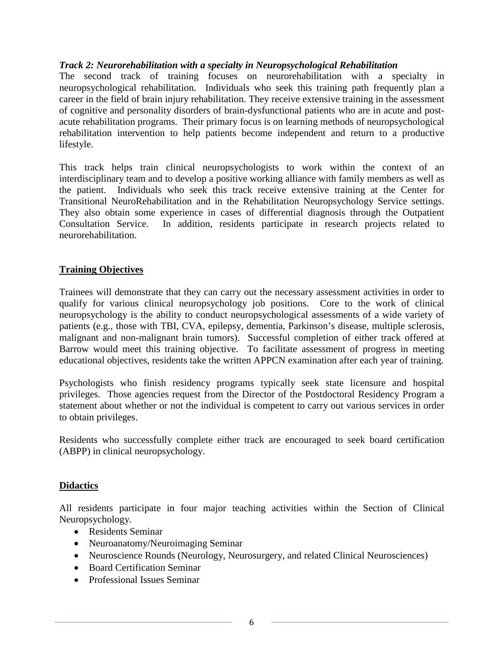## *Track 2: Neurorehabilitation with a specialty in Neuropsychological Rehabilitation*

The second track of training focuses on neurorehabilitation with a specialty in neuropsychological rehabilitation. Individuals who seek this training path frequently plan a career in the field of brain injury rehabilitation. They receive extensive training in the assessment of cognitive and personality disorders of brain-dysfunctional patients who are in acute and postacute rehabilitation programs. Their primary focus is on learning methods of neuropsychological rehabilitation intervention to help patients become independent and return to a productive lifestyle.

This track helps train clinical neuropsychologists to work within the context of an interdisciplinary team and to develop a positive working alliance with family members as well as the patient. Individuals who seek this track receive extensive training at the Center for Transitional NeuroRehabilitation and in the Rehabilitation Neuropsychology Service settings. They also obtain some experience in cases of differential diagnosis through the Outpatient Consultation Service. In addition, residents participate in research projects related to neurorehabilitation.

### **Training Objectives**

Trainees will demonstrate that they can carry out the necessary assessment activities in order to qualify for various clinical neuropsychology job positions. Core to the work of clinical neuropsychology is the ability to conduct neuropsychological assessments of a wide variety of patients (e.g., those with TBI, CVA, epilepsy, dementia, Parkinson's disease, multiple sclerosis, malignant and non-malignant brain tumors). Successful completion of either track offered at Barrow would meet this training objective. To facilitate assessment of progress in meeting educational objectives, residents take the written APPCN examination after each year of training.

Psychologists who finish residency programs typically seek state licensure and hospital privileges. Those agencies request from the Director of the Postdoctoral Residency Program a statement about whether or not the individual is competent to carry out various services in order to obtain privileges.

Residents who successfully complete either track are encouraged to seek board certification (ABPP) in clinical neuropsychology.

#### **Didactics**

All residents participate in four major teaching activities within the Section of Clinical Neuropsychology.

- Residents Seminar
- Neuroanatomy/Neuroimaging Seminar
- Neuroscience Rounds (Neurology, Neurosurgery, and related Clinical Neurosciences)
- Board Certification Seminar
- Professional Issues Seminar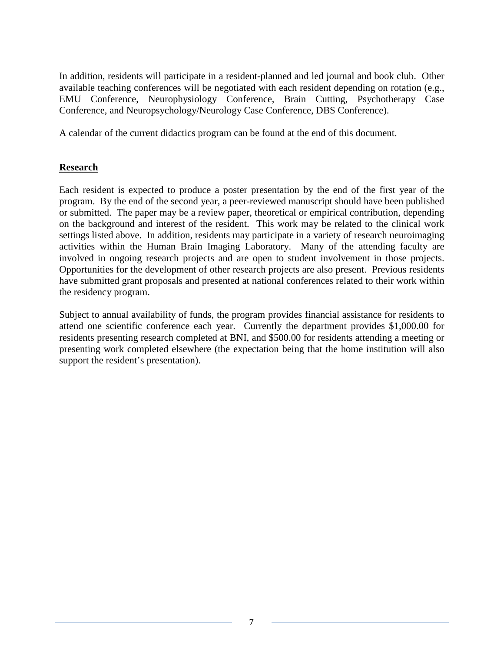In addition, residents will participate in a resident-planned and led journal and book club. Other available teaching conferences will be negotiated with each resident depending on rotation (e.g., EMU Conference, Neurophysiology Conference, Brain Cutting, Psychotherapy Case Conference, and Neuropsychology/Neurology Case Conference, DBS Conference).

A calendar of the current didactics program can be found at the end of this document.

# **Research**

Each resident is expected to produce a poster presentation by the end of the first year of the program. By the end of the second year, a peer-reviewed manuscript should have been published or submitted. The paper may be a review paper, theoretical or empirical contribution, depending on the background and interest of the resident. This work may be related to the clinical work settings listed above. In addition, residents may participate in a variety of research neuroimaging activities within the Human Brain Imaging Laboratory. Many of the attending faculty are involved in ongoing research projects and are open to student involvement in those projects. Opportunities for the development of other research projects are also present. Previous residents have submitted grant proposals and presented at national conferences related to their work within the residency program.

Subject to annual availability of funds, the program provides financial assistance for residents to attend one scientific conference each year. Currently the department provides \$1,000.00 for residents presenting research completed at BNI, and \$500.00 for residents attending a meeting or presenting work completed elsewhere (the expectation being that the home institution will also support the resident's presentation).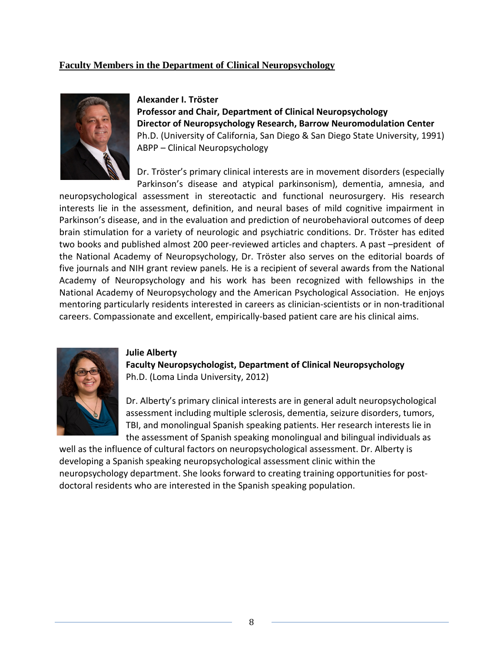## **Faculty Members in the Department of Clinical Neuropsychology**



#### **Alexander I. Tröster**

**Professor and Chair, Department of Clinical Neuropsychology Director of Neuropsychology Research, Barrow Neuromodulation Center**  Ph.D. (University of California, San Diego & San Diego State University, 1991) ABPP – Clinical Neuropsychology

Dr. Tröster's primary clinical interests are in movement disorders (especially Parkinson's disease and atypical parkinsonism), dementia, amnesia, and

neuropsychological assessment in stereotactic and functional neurosurgery. His research interests lie in the assessment, definition, and neural bases of mild cognitive impairment in Parkinson's disease, and in the evaluation and prediction of neurobehavioral outcomes of deep brain stimulation for a variety of neurologic and psychiatric conditions. Dr. Tröster has edited two books and published almost 200 peer-reviewed articles and chapters. A past –president of the National Academy of Neuropsychology, Dr. Tröster also serves on the editorial boards of five journals and NIH grant review panels. He is a recipient of several awards from the National Academy of Neuropsychology and his work has been recognized with fellowships in the National Academy of Neuropsychology and the American Psychological Association. He enjoys mentoring particularly residents interested in careers as clinician-scientists or in non-traditional careers. Compassionate and excellent, empirically-based patient care are his clinical aims.



#### **Julie Alberty**

**Faculty Neuropsychologist, Department of Clinical Neuropsychology** Ph.D. (Loma Linda University, 2012)

Dr. Alberty's primary clinical interests are in general adult neuropsychological assessment including multiple sclerosis, dementia, seizure disorders, tumors, TBI, and monolingual Spanish speaking patients. Her research interests lie in the assessment of Spanish speaking monolingual and bilingual individuals as

well as the influence of cultural factors on neuropsychological assessment. Dr. Alberty is developing a Spanish speaking neuropsychological assessment clinic within the neuropsychology department. She looks forward to creating training opportunities for postdoctoral residents who are interested in the Spanish speaking population.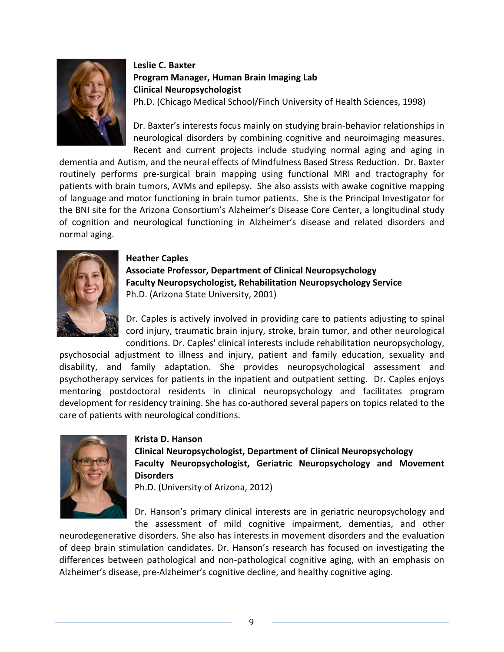

# **Leslie C. Baxter Program Manager, Human Brain Imaging Lab Clinical Neuropsychologist**

Ph.D. (Chicago Medical School/Finch University of Health Sciences, 1998)

Dr. Baxter's interests focus mainly on studying brain-behavior relationships in neurological disorders by combining cognitive and neuroimaging measures. Recent and current projects include studying normal aging and aging in

dementia and Autism, and the neural effects of Mindfulness Based Stress Reduction. Dr. Baxter routinely performs pre-surgical brain mapping using functional MRI and tractography for patients with brain tumors, AVMs and epilepsy. She also assists with awake cognitive mapping of language and motor functioning in brain tumor patients. She is the Principal Investigator for the BNI site for the Arizona Consortium's Alzheimer's Disease Core Center, a longitudinal study of cognition and neurological functioning in Alzheimer's disease and related disorders and normal aging.



## **Heather Caples Associate Professor, Department of Clinical Neuropsychology Faculty Neuropsychologist, Rehabilitation Neuropsychology Service** Ph.D. (Arizona State University, 2001)

Dr. Caples is actively involved in providing care to patients adjusting to spinal cord injury, traumatic brain injury, stroke, brain tumor, and other neurological conditions. Dr. Caples' clinical interests include rehabilitation neuropsychology,

psychosocial adjustment to illness and injury, patient and family education, sexuality and disability, and family adaptation. She provides neuropsychological assessment and psychotherapy services for patients in the inpatient and outpatient setting. Dr. Caples enjoys mentoring postdoctoral residents in clinical neuropsychology and facilitates program development for residency training. She has co-authored several papers on topics related to the care of patients with neurological conditions.



#### **Krista D. Hanson**

**Clinical Neuropsychologist, Department of Clinical Neuropsychology Faculty Neuropsychologist, Geriatric Neuropsychology and Movement Disorders**

Ph.D. (University of Arizona, 2012)

Dr. Hanson's primary clinical interests are in geriatric neuropsychology and the assessment of mild cognitive impairment, dementias, and other

neurodegenerative disorders. She also has interests in movement disorders and the evaluation of deep brain stimulation candidates. Dr. Hanson's research has focused on investigating the differences between pathological and non-pathological cognitive aging, with an emphasis on Alzheimer's disease, pre-Alzheimer's cognitive decline, and healthy cognitive aging.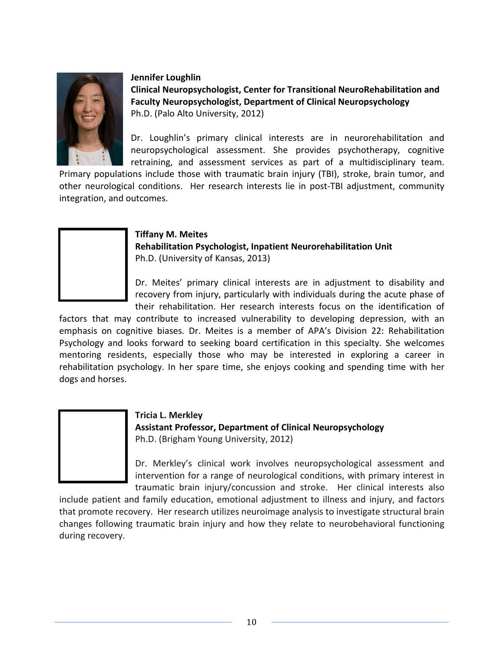

### **Jennifer Loughlin**

**Clinical Neuropsychologist, Center for Transitional NeuroRehabilitation and Faculty Neuropsychologist, Department of Clinical Neuropsychology**  Ph.D. (Palo Alto University, 2012)

Dr. Loughlin's primary clinical interests are in neurorehabilitation and neuropsychological assessment. She provides psychotherapy, cognitive retraining, and assessment services as part of a multidisciplinary team.

Primary populations include those with traumatic brain injury (TBI), stroke, brain tumor, and other neurological conditions. Her research interests lie in post-TBI adjustment, community integration, and outcomes.



## **Tiffany M. Meites Rehabilitation Psychologist, Inpatient Neurorehabilitation Unit** Ph.D. (University of Kansas, 2013)

Dr. Meites' primary clinical interests are in adjustment to disability and recovery from injury, particularly with individuals during the acute phase of their rehabilitation. Her research interests focus on the identification of

factors that may contribute to increased vulnerability to developing depression, with an emphasis on cognitive biases. Dr. Meites is a member of APA's Division 22: Rehabilitation Psychology and looks forward to seeking board certification in this specialty. She welcomes mentoring residents, especially those who may be interested in exploring a career in rehabilitation psychology. In her spare time, she enjoys cooking and spending time with her dogs and horses.



## **Tricia L. Merkley Assistant Professor, Department of Clinical Neuropsychology** Ph.D. (Brigham Young University, 2012)

Dr. Merkley's clinical work involves neuropsychological assessment and intervention for a range of neurological conditions, with primary interest in traumatic brain injury/concussion and stroke. Her clinical interests also

include patient and family education, emotional adjustment to illness and injury, and factors that promote recovery. Her research utilizes neuroimage analysis to investigate structural brain changes following traumatic brain injury and how they relate to neurobehavioral functioning during recovery.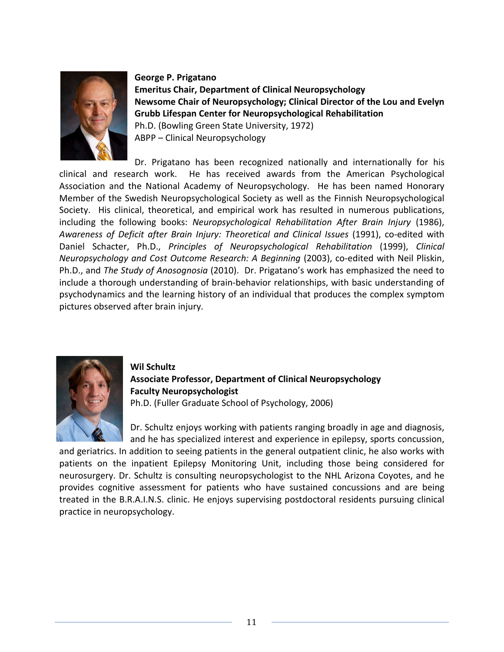

#### **George P. Prigatano**

**Emeritus Chair, Department of Clinical Neuropsychology Newsome Chair of Neuropsychology; Clinical Director of the Lou and Evelyn Grubb Lifespan Center for Neuropsychological Rehabilitation** Ph.D. (Bowling Green State University, 1972) ABPP – Clinical Neuropsychology

Dr. Prigatano has been recognized nationally and internationally for his clinical and research work. He has received awards from the American Psychological Association and the National Academy of Neuropsychology. He has been named Honorary Member of the Swedish Neuropsychological Society as well as the Finnish Neuropsychological Society. His clinical, theoretical, and empirical work has resulted in numerous publications, including the following books: *Neuropsychological Rehabilitation After Brain Injury* (1986), *Awareness of Deficit after Brain Injury: Theoretical and Clinical Issues* (1991), co-edited with Daniel Schacter, Ph.D., *Principles of Neuropsychological Rehabilitation* (1999), *Clinical Neuropsychology and Cost Outcome Research: A Beginning* (2003), co-edited with Neil Pliskin, Ph.D., and *The Study of Anosognosia* (2010). Dr. Prigatano's work has emphasized the need to include a thorough understanding of brain-behavior relationships, with basic understanding of psychodynamics and the learning history of an individual that produces the complex symptom pictures observed after brain injury.



**Wil Schultz Associate Professor, Department of Clinical Neuropsychology Faculty Neuropsychologist** Ph.D. (Fuller Graduate School of Psychology, 2006)

Dr. Schultz enjoys working with patients ranging broadly in age and diagnosis, and he has specialized interest and experience in epilepsy, sports concussion,

and geriatrics. In addition to seeing patients in the general outpatient clinic, he also works with patients on the inpatient Epilepsy Monitoring Unit, including those being considered for neurosurgery. Dr. Schultz is consulting neuropsychologist to the NHL Arizona Coyotes, and he provides cognitive assessment for patients who have sustained concussions and are being treated in the B.R.A.I.N.S. clinic. He enjoys supervising postdoctoral residents pursuing clinical practice in neuropsychology.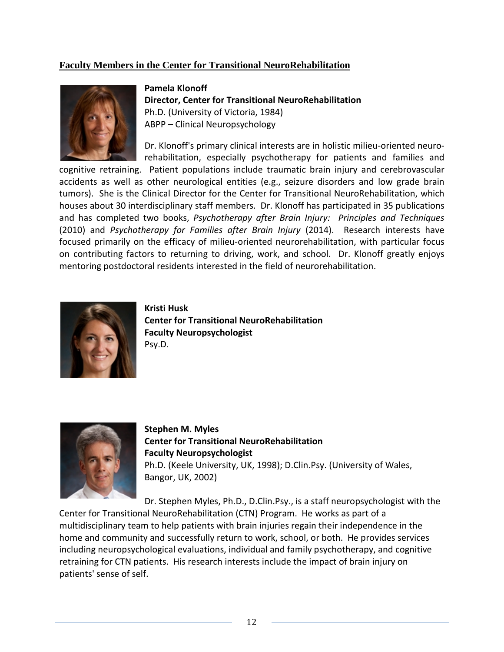# **Faculty Members in the Center for Transitional NeuroRehabilitation**



**Pamela Klonoff Director, Center for Transitional NeuroRehabilitation** Ph.D. (University of Victoria, 1984) ABPP – Clinical Neuropsychology

Dr. Klonoff's primary clinical interests are in holistic milieu-oriented neurorehabilitation, especially psychotherapy for patients and families and

cognitive retraining. Patient populations include traumatic brain injury and cerebrovascular accidents as well as other neurological entities (e.g., seizure disorders and low grade brain tumors). She is the Clinical Director for the Center for Transitional NeuroRehabilitation, which houses about 30 interdisciplinary staff members. Dr. Klonoff has participated in 35 publications and has completed two books, *Psychotherapy after Brain Injury: Principles and Techniques* (2010) and *Psychotherapy for Families after Brain Injury* (2014). Research interests have focused primarily on the efficacy of milieu-oriented neurorehabilitation, with particular focus on contributing factors to returning to driving, work, and school. Dr. Klonoff greatly enjoys mentoring postdoctoral residents interested in the field of neurorehabilitation.



**Kristi Husk Center for Transitional NeuroRehabilitation Faculty Neuropsychologist** Psy.D.



**Stephen M. Myles Center for Transitional NeuroRehabilitation Faculty Neuropsychologist** Ph.D. (Keele University, UK, 1998); D.Clin.Psy. (University of Wales, Bangor, UK, 2002)

Dr. Stephen Myles, Ph.D., D.Clin.Psy., is a staff neuropsychologist with the Center for Transitional NeuroRehabilitation (CTN) Program. He works as part of a multidisciplinary team to help patients with brain injuries regain their independence in the home and community and successfully return to work, school, or both. He provides services including neuropsychological evaluations, individual and family psychotherapy, and cognitive retraining for CTN patients. His research interests include the impact of brain injury on patients' sense of self.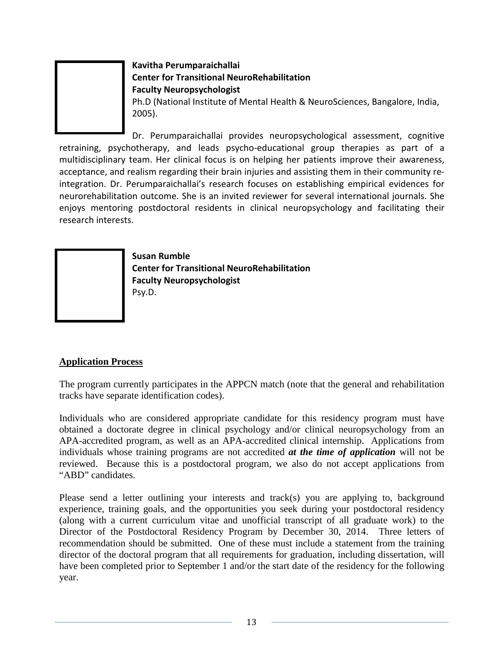

# **Kavitha Perumparaichallai Center for Transitional NeuroRehabilitation Faculty Neuropsychologist**

Ph.D (National Institute of Mental Health & NeuroSciences, Bangalore, India, 2005).

Dr. Perumparaichallai provides neuropsychological assessment, cognitive retraining, psychotherapy, and leads psycho-educational group therapies as part of a multidisciplinary team. Her clinical focus is on helping her patients improve their awareness, acceptance, and realism regarding their brain injuries and assisting them in their community reintegration. Dr. Perumparaichallai's research focuses on establishing empirical evidences for neurorehabilitation outcome. She is an invited reviewer for several international journals. She enjoys mentoring postdoctoral residents in clinical neuropsychology and facilitating their research interests.

> **Susan Rumble Center for Transitional NeuroRehabilitation Faculty Neuropsychologist** Psy.D.

# **Application Process**

The program currently participates in the APPCN match (note that the general and rehabilitation tracks have separate identification codes).

Individuals who are considered appropriate candidate for this residency program must have obtained a doctorate degree in clinical psychology and/or clinical neuropsychology from an APA-accredited program, as well as an APA-accredited clinical internship. Applications from individuals whose training programs are not accredited *at the time of application* will not be reviewed. Because this is a postdoctoral program, we also do not accept applications from "ABD" candidates.

Please send a letter outlining your interests and track(s) you are applying to, background experience, training goals, and the opportunities you seek during your postdoctoral residency (along with a current curriculum vitae and unofficial transcript of all graduate work) to the Director of the Postdoctoral Residency Program by December 30, 2014. Three letters of recommendation should be submitted. One of these must include a statement from the training director of the doctoral program that all requirements for graduation, including dissertation, will have been completed prior to September 1 and/or the start date of the residency for the following year.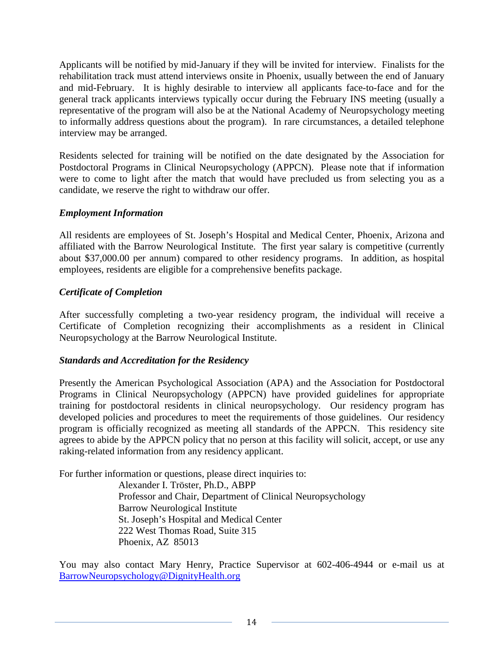Applicants will be notified by mid-January if they will be invited for interview. Finalists for the rehabilitation track must attend interviews onsite in Phoenix, usually between the end of January and mid-February. It is highly desirable to interview all applicants face-to-face and for the general track applicants interviews typically occur during the February INS meeting (usually a representative of the program will also be at the National Academy of Neuropsychology meeting to informally address questions about the program). In rare circumstances, a detailed telephone interview may be arranged.

Residents selected for training will be notified on the date designated by the Association for Postdoctoral Programs in Clinical Neuropsychology (APPCN). Please note that if information were to come to light after the match that would have precluded us from selecting you as a candidate, we reserve the right to withdraw our offer.

## *Employment Information*

All residents are employees of St. Joseph's Hospital and Medical Center, Phoenix, Arizona and affiliated with the Barrow Neurological Institute. The first year salary is competitive (currently about \$37,000.00 per annum) compared to other residency programs. In addition, as hospital employees, residents are eligible for a comprehensive benefits package.

## *Certificate of Completion*

After successfully completing a two-year residency program, the individual will receive a Certificate of Completion recognizing their accomplishments as a resident in Clinical Neuropsychology at the Barrow Neurological Institute.

## *Standards and Accreditation for the Residency*

Presently the American Psychological Association (APA) and the Association for Postdoctoral Programs in Clinical Neuropsychology (APPCN) have provided guidelines for appropriate training for postdoctoral residents in clinical neuropsychology. Our residency program has developed policies and procedures to meet the requirements of those guidelines. Our residency program is officially recognized as meeting all standards of the APPCN. This residency site agrees to abide by the APPCN policy that no person at this facility will solicit, accept, or use any raking-related information from any residency applicant.

For further information or questions, please direct inquiries to:

Alexander I. Tröster, Ph.D., ABPP Professor and Chair, Department of Clinical Neuropsychology Barrow Neurological Institute St. Joseph's Hospital and Medical Center 222 West Thomas Road, Suite 315 Phoenix, AZ 85013

You may also contact Mary Henry, Practice Supervisor at 602-406-4944 or e-mail us at [BarrowNeuropsychology@DignityHealth.org](mailto:BarrowNeuropsychology@DignityHealth.org)